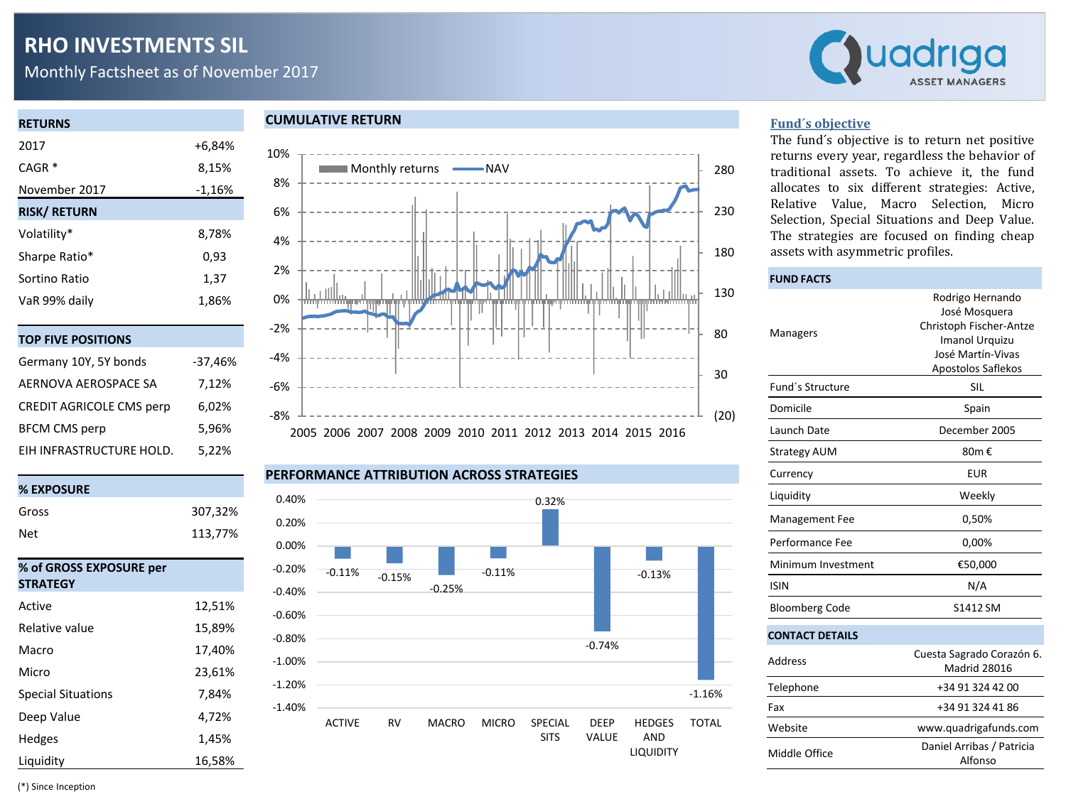# **RHO INVESTMENTS SIL**

Monthly Factsheet as of November 2017



| <b>RETURNS</b>      |          |
|---------------------|----------|
| 2017                | +6,84%   |
| $CAGR*$             | 8,15%    |
| November 2017       | $-1,16%$ |
| <b>RISK/ RETURN</b> |          |
| Volatility*         | 8,78%    |
| Sharpe Ratio*       | 0,93     |
| Sortino Ratio       | 1,37     |
| VaR 99% daily       | 1,86%    |
|                     |          |
| אחודואחם            |          |

| .                               |           |
|---------------------------------|-----------|
| Germany 10Y, 5Y bonds           | $-37,46%$ |
| AERNOVA AEROSPACE SA            | 7,12%     |
| <b>CREDIT AGRICOLE CMS perp</b> | 6,02%     |
| <b>BFCM CMS perp</b>            | 5,96%     |
| EIH INFRASTRUCTURE HOLD.        | 5,22%     |



#### **CUMULATIVE RETURN**



#### **PERFORMANCE ATTRIBUTION ACROSS STRATEGIES**



#### **Fund´s objective**

The fund´s objective is to return net positive returns every year, regardless the behavior of traditional assets. To achieve it, the fund allocates to six different strategies: Active, Relative Value, Macro Selection, Micro Selection, Special Situations and Deep Value. The strategies are focused on finding cheap assets with asymmetric profiles.

# **FUND FACTS** Managers Rodrigo Hernando José Mosquera Christoph Fischer-Antze Imanol Urquizu José Martín-Vivas Apostolos Saflekos Fund's Structure SIL Domicile Spain Launch Date December 2005 Strategy AUM 80m € Currency EUR Liquidity Weekly Management Fee 0,50% Performance Fee 0,00% Minimum Investment €50,000 ISIN N/A Bloomberg Code S1412 SM **CONTACT DETAILS** Address Cuesta Sagrado Corazón 6. Madrid 28016 Telephone +34 91 324 42 00 Fax +34 91 324 41 86 Website www.quadrigafunds.com Middle Office Daniel Arribas / Patricia Alfonso

(\*) Since Inception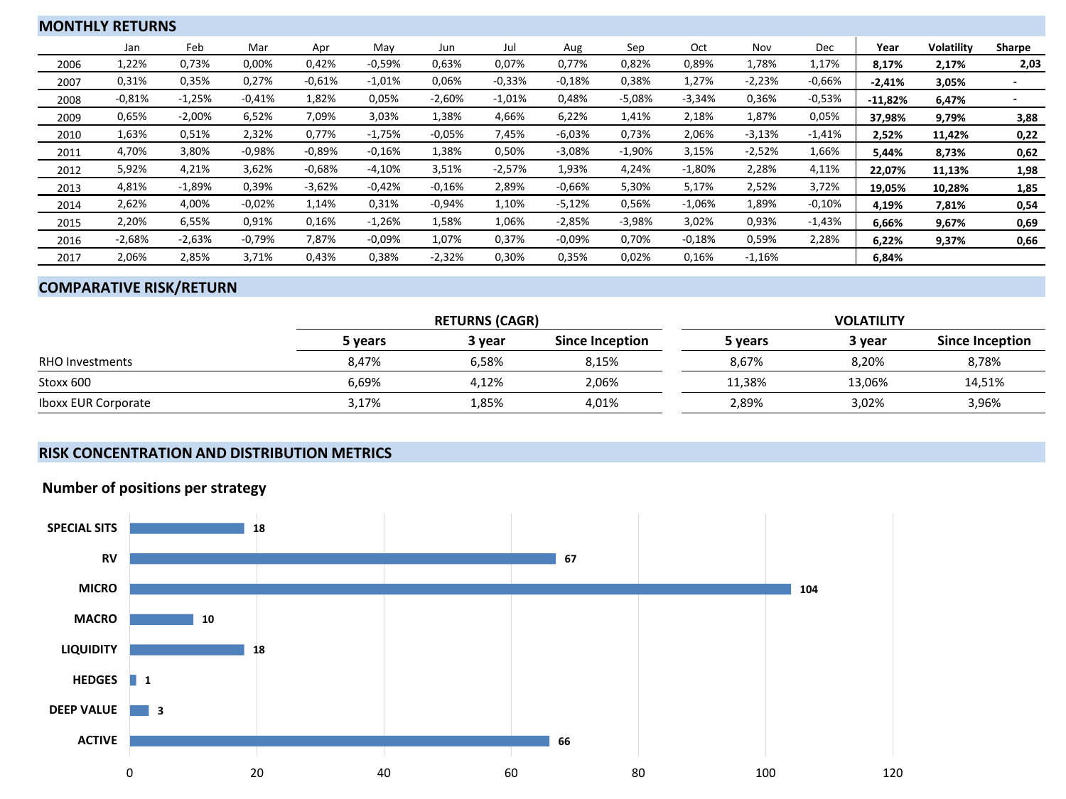| <b>MONTHLY RETURNS</b> |          |          |          |          |          |          |          |          |          |          |          |          |           |                   |        |
|------------------------|----------|----------|----------|----------|----------|----------|----------|----------|----------|----------|----------|----------|-----------|-------------------|--------|
|                        | Jan      | Feb      | Mar      | Apr      | May      | Jun      | Jul      | Aug      | Sep      | Oct      | Nov      | Dec      | Year      | <b>Volatility</b> | Sharpe |
| 2006                   | 1,22%    | 0,73%    | 0,00%    | 0,42%    | $-0,59%$ | 0,63%    | 0,07%    | 0,77%    | 0,82%    | 0,89%    | 1,78%    | 1,17%    | 8,17%     | 2,17%             | 2,03   |
| 2007                   | 0,31%    | 0,35%    | 0,27%    | $-0.61%$ | $-1,01%$ | 0,06%    | $-0.33%$ | $-0.18%$ | 0,38%    | 1,27%    | $-2,23%$ | $-0,66%$ | $-2,41%$  | 3,05%             |        |
| 2008                   | $-0,81%$ | $-1,25%$ | $-0.41%$ | 1,82%    | 0,05%    | $-2,60%$ | $-1,01%$ | 0,48%    | $-5,08%$ | $-3,34%$ | 0,36%    | $-0,53%$ | $-11,82%$ | 6,47%             |        |
| 2009                   | 0,65%    | $-2,00%$ | 6,52%    | 7,09%    | 3,03%    | 1,38%    | 4,66%    | 6,22%    | 1,41%    | 2,18%    | 1,87%    | 0,05%    | 37,98%    | 9,79%             | 3,88   |
| 2010                   | 1,63%    | 0,51%    | 2,32%    | 0,77%    | $-1,75%$ | $-0.05%$ | 7,45%    | $-6,03%$ | 0,73%    | 2,06%    | $-3,13%$ | $-1,41%$ | 2,52%     | 11,42%            | 0,22   |
| 2011                   | 4,70%    | 3,80%    | $-0.98%$ | $-0.89%$ | $-0.16%$ | 1,38%    | 0,50%    | $-3,08%$ | $-1,90%$ | 3,15%    | $-2,52%$ | 1,66%    | 5,44%     | 8,73%             | 0,62   |
| 2012                   | 5,92%    | 4,21%    | 3,62%    | $-0.68%$ | $-4,10%$ | 3,51%    | $-2,57%$ | 1,93%    | 4,24%    | $-1,80%$ | 2,28%    | 4,11%    | 22,07%    | 11,13%            | 1,98   |
| 2013                   | 4,81%    | $-1,89%$ | 0,39%    | $-3,62%$ | $-0.42%$ | $-0.16%$ | 2,89%    | $-0.66%$ | 5,30%    | 5,17%    | 2,52%    | 3,72%    | 19,05%    | 10,28%            | 1,85   |
| 2014                   | 2,62%    | 4,00%    | $-0.02%$ | 1,14%    | 0,31%    | $-0.94%$ | 1,10%    | $-5,12%$ | 0,56%    | $-1,06%$ | 1,89%    | $-0,10%$ | 4,19%     | 7,81%             | 0,54   |
| 2015                   | 2,20%    | 6,55%    | 0,91%    | 0,16%    | $-1,26%$ | 1,58%    | 1,06%    | $-2,85%$ | $-3,98%$ | 3,02%    | 0,93%    | $-1,43%$ | 6,66%     | 9,67%             | 0,69   |
| 2016                   | $-2,68%$ | $-2,63%$ | $-0,79%$ | 7,87%    | $-0.09%$ | 1,07%    | 0,37%    | $-0.09%$ | 0,70%    | $-0,18%$ | 0,59%    | 2,28%    | 6,22%     | 9,37%             | 0,66   |
| 2017                   | 2,06%    | 2,85%    | 3,71%    | 0,43%    | 0,38%    | $-2,32%$ | 0,30%    | 0,35%    | 0,02%    | 0,16%    | $-1,16%$ |          | 6,84%     |                   |        |

# **COMPARATIVE RISK/RETURN**

|                            |         | <b>RETURNS (CAGR)</b> |                 | <b>VOLATILITY</b> |        |                 |  |  |  |
|----------------------------|---------|-----------------------|-----------------|-------------------|--------|-----------------|--|--|--|
|                            | 5 vears | 3 vear                | Since Inception | 5 years           | 3 year | Since Inception |  |  |  |
| <b>RHO Investments</b>     | 8,47%   | 6.58%                 | 8,15%           | 8,67%             | 8,20%  | 8,78%           |  |  |  |
| Stoxx 600                  | 6,69%   | 4,12%                 | 2,06%           | 11,38%            | 13,06% | 14,51%          |  |  |  |
| <b>Iboxx EUR Corporate</b> | 3,17%   | 1,85%                 | 4,01%           | 2,89%             | 3,02%  | 3,96%           |  |  |  |

# **RISK CONCENTRATION AND DISTRIBUTION METRICS**

# **Number of positions per strategy**

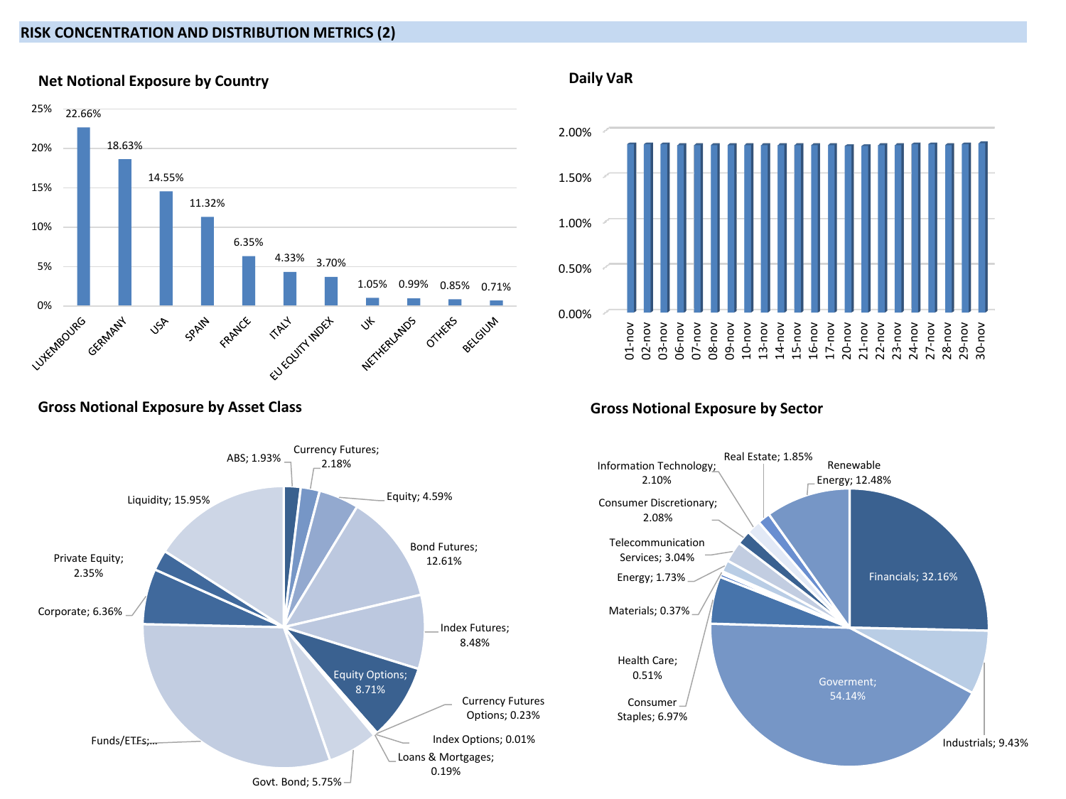### **RISK CONCENTRATION AND DISTRIBUTION METRICS (2)**



# **Net Notional Exposure by Country**





### **Gross Notional Exposure by Sector**



# **Gross Notional Exposure by Asset Class**